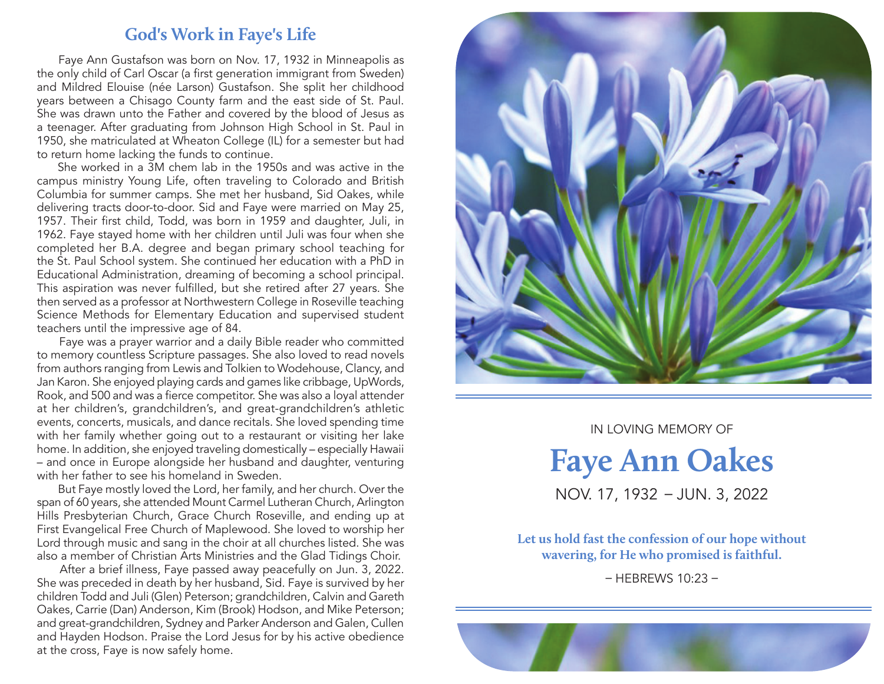## **God's Work in Faye's Life**

 Faye Ann Gustafson was born on Nov. 17, 1932 in Minneapolis as the only child of Carl Oscar (a first generation immigrant from Sweden) and Mildred Elouise (née Larson) Gustafson. She split her childhood years between a Chisago County farm and the east side of St. Paul. She was drawn unto the Father and covered by the blood of Jesus as a teenager. After graduating from Johnson High School in St. Paul in 1950, she matriculated at Wheaton College (IL) for a semester but had to return home lacking the funds to continue.

 She worked in a 3M chem lab in the 1950s and was active in the campus ministry Young Life, often traveling to Colorado and British Columbia for summer camps. She met her husband, Sid Oakes, while delivering tracts door-to-door. Sid and Faye were married on May 25, 1957. Their first child, Todd, was born in 1959 and daughter, Juli, in 1962. Faye stayed home with her children until Juli was four when she completed her B.A. degree and began primary school teaching for the St. Paul School system. She continued her education with a PhD in Educational Administration, dreaming of becoming a school principal. This aspiration was never fulfilled, but she retired after 27 years. She then served as a professor at Northwestern College in Roseville teaching Science Methods for Elementary Education and supervised student teachers until the impressive age of 84.

 Faye was a prayer warrior and a daily Bible reader who committed to memory countless Scripture passages. She also loved to read novels from authors ranging from Lewis and Tolkien to Wodehouse, Clancy, and Jan Karon. She enjoyed playing cards and games like cribbage, UpWords, Rook, and 500 and was a fierce competitor. She was also a loyal attender at her children's, grandchildren's, and great-grandchildren's athletic events, concerts, musicals, and dance recitals. She loved spending time with her family whether going out to a restaurant or visiting her lake home. In addition, she enjoyed traveling domestically – especially Hawaii – and once in Europe alongside her husband and daughter, venturing with her father to see his homeland in Sweden.

 But Faye mostly loved the Lord, her family, and her church. Over the span of 60 years, she attended Mount Carmel Lutheran Church, Arlington Hills Presbyterian Church, Grace Church Roseville, and ending up at First Evangelical Free Church of Maplewood. She loved to worship her Lord through music and sang in the choir at all churches listed. She was also a member of Christian Arts Ministries and the Glad Tidings Choir.

 After a brief illness, Faye passed away peacefully on Jun. 3, 2022. She was preceded in death by her husband, Sid. Faye is survived by her children Todd and Juli (Glen) Peterson; grandchildren, Calvin and Gareth Oakes, Carrie (Dan) Anderson, Kim (Brook) Hodson, and Mike Peterson; and great-grandchildren, Sydney and Parker Anderson and Galen, Cullen and Hayden Hodson. Praise the Lord Jesus for by his active obedience at the cross, Faye is now safely home.



In Loving Memory of

**Faye Ann Oakes** NOV. 17, 1932 – JUN. 3, 2022

**Let us hold fast the confession of our hope without wavering, for He who promised is faithful.** 

– HEBREWS 10:23 –